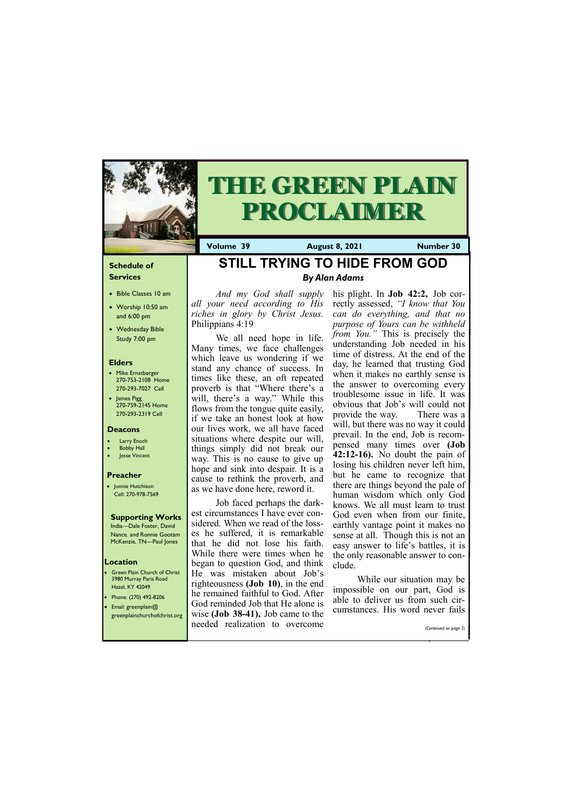## **Schedule of Services**

- Bible Classes 10 am
- Worship 10:50 am and 6:00 pm
- Wednesday Bible Study 7:00 pm

## **Elders**

- Mike Ernstberger 270-753-2108 Home 270-293-7027 Cell
- James Pigg 270-759-2145 Home 270-293-2319 Cell

**Green Plain Church of Christ** 3980 Murray Paris Road Hazel, KY 42049 • Phone: (270) 492-8206 • Email: greenplain@

## **Location**



# **THE GREEN PLAIN PROCLAIMER**

**Volume 39 August 8, 2021 Number 30**

#### **Deacons**

- **Larry Enoch**
- **Bobby Hall**
- Jesse Vincent

#### **Preacher**

• Jonnie Hutchison Cell: 270-978-7569

#### **Supporting Works** India—Dale Foster, David

Nance. and Ronnie Gootam McKenzie, TN—Paul Jones

**STILL TRYING TO HIDE FROM GOD**

*By Alan Adams*

*And my God shall supply all your need according to His riches in glory by Christ Jesus.*  Philippians 4:19

We all need hope in life. Many times, we face challenges which leave us wondering if we stand any chance of success. In times like these, an oft repeated proverb is that "Where there's a will, there's a way." While this flows from the tongue quite easily, if we take an honest look at how our lives work, we all have faced situations where despite our will, things simply did not break our way. This is no cause to give up hope and sink into despair. It is a cause to rethink the proverb, and as we have done here, reword it.

Job faced perhaps the darkest circumstances I have ever considered. When we read of the losses he suffered, it is remarkable that he did not lose his faith. While there were times when he began to question God, and think He was mistaken about Job's righteousness **(Job 10)**, in the end he remained faithful to God. After God reminded Job that He alone is

| greenplainchurchofchrist.org   wise (Job 38-41), Job came to the | cumstances. Fils word never fails |
|------------------------------------------------------------------|-----------------------------------|
| needed realization to overcome                                   | (Continued on page 3)             |

his plight. In **Job 42:2,** Job correctly assessed, *"I know that You can do everything, and that no purpose of Yours can be withheld from You.*<sup>"</sup> This is precisely the understanding Job needed in his time of distress. At the end of the day, he learned that trusting God when it makes no earthly sense is the answer to overcoming every troublesome issue in life. It was obvious that Job's will could not provide the way. There was a will, but there was no way it could prevail. In the end, Job is recompensed many times over **(Job 42:12-16).** No doubt the pain of losing his children never left him, but he came to recognize that there are things beyond the pale of human wisdom which only God knows. We all must learn to trust God even when from our finite, earthly vantage point it makes no sense at all. Though this is not an easy answer to life's battles, it is the only reasonable answer to conclude.

While our situation may be impossible on our part, God is able to deliver us from such circumstances. His word never fails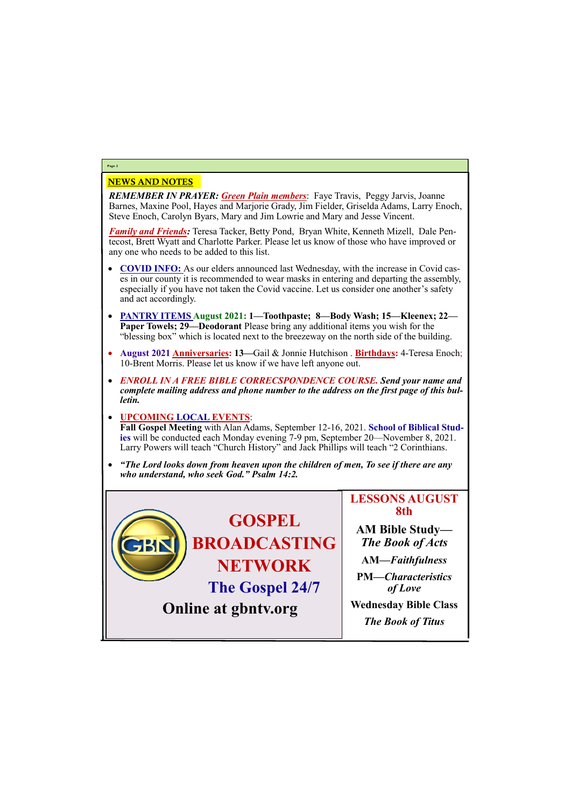## NEWS AND NOTES

*REMEMBER IN PRAYER: Green Plain members*: Faye Travis, Peggy Jarvis, Joanne Barnes, Maxine Pool, Hayes and Marjorie Grady, Jim Fielder, Griselda Adams, Larry Enoch, Steve Enoch, Carolyn Byars, Mary and Jim Lowrie and Mary and Jesse Vincent.

*Family and Friends:* Teresa Tacker, Betty Pond, Bryan White, Kenneth Mizell, Dale Pentecost, Brett Wyatt and Charlotte Parker. Please let us know of those who have improved or any one who needs to be added to this list.

- **COVID INFO:** As our elders announced last Wednesday, with the increase in Covid cases in our county it is recommended to wear masks in entering and departing the assembly, especially if you have not taken the Covid vaccine. Let us consider one another's safety and act accordingly.
- **PANTRY ITEMS August 2021: 1—Toothpaste; 8—Body Wash; 15—Kleenex; 22— Paper Towels; 29—Deodorant** Please bring any additional items you wish for the "blessing box" which is located next to the breezeway on the north side of the building.
- **August 2021 Anniversaries: 13—**Gail & Jonnie Hutchison . **Birthdays:** 4-Teresa Enoch; 10-Brent Morris. Please let us know if we have left anyone out.
- *ENROLL IN A FREE BIBLE CORRECSPONDENCE COURSE. Send your name and complete mailing address and phone number to the address on the first page of this bulletin.*

## • **UPCOMING LOCAL EVENTS**:

**Fall Gospel Meeting** with Alan Adams, September 12-16, 2021. **School of Biblical Studies** will be conducted each Monday evening 7-9 pm, September 20—November 8, 2021. Larry Powers will teach "Church History" and Jack Phillips will teach "2 Corinthians.

• *"The Lord looks down from heaven upon the children of men, To see if there are any who understand, who seek God." Psalm 14:2.*

## **Page 2**

**GOSPEL BROADCASTING NETWORK The Gospel 24/7**

# **LESSONS AUGUST 8th**

**AM Bible Study—** *The Book of Acts* **AM—***Faithfulness*



**PM—***Characteristics of Love*

**Wednesday Bible Class**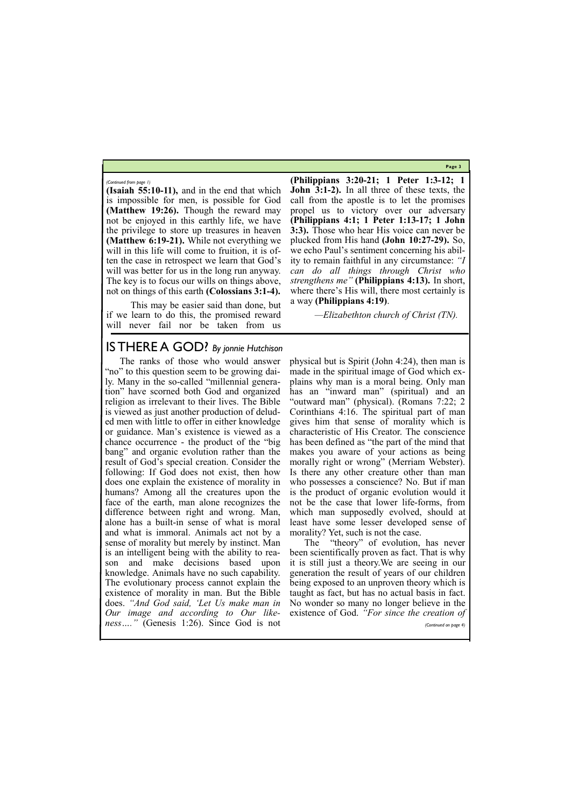**Page 3**

**(Isaiah 55:10-11),** and in the end that which is impossible for men, is possible for God **(Matthew 19:26).** Though the reward may not be enjoyed in this earthly life, we have the privilege to store up treasures in heaven **(Matthew 6:19-21).** While not everything we will in this life will come to fruition, it is often the case in retrospect we learn that God's will was better for us in the long run anyway. The key is to focus our wills on things above, not on things of this earth **(Colossians 3:1-4).**

This may be easier said than done, but if we learn to do this, the promised reward will never fail nor be taken from us

**(Philippians 3:20-21; 1 Peter 1:3-12; 1 John 3:1-2).** In all three of these texts, the call from the apostle is to let the promises propel us to victory over our adversary **(Philippians 4:1; 1 Peter 1:13-17; 1 John 3:3).** Those who hear His voice can never be plucked from His hand **(John 10:27-29).** So, we echo Paul's sentiment concerning his ability to remain faithful in any circumstance: *"I can do all things through Christ who strengthens me"* **(Philippians 4:13).** In short, where there's His will, there most certainly is a way **(Philippians 4:19)**.

*—Elizabethton church of Christ (TN).*

*(Continued from page 1)*

# IS THERE A GOD? *By jonnie Hutchison*

The ranks of those who would answer "no" to this question seem to be growing daily. Many in the so-called "millennial generation" have scorned both God and organized religion as irrelevant to their lives. The Bible is viewed as just another production of deluded men with little to offer in either knowledge or guidance. Man's existence is viewed as a chance occurrence - the product of the "big bang" and organic evolution rather than the result of God's special creation. Consider the following: If God does not exist, then how does one explain the existence of morality in humans? Among all the creatures upon the face of the earth, man alone recognizes the difference between right and wrong. Man, alone has a built-in sense of what is moral and what is immoral. Animals act not by a sense of morality but merely by instinct. Man is an intelligent being with the ability to reason and make decisions based upon knowledge. Animals have no such capability. The evolutionary process cannot explain the existence of morality in man. But the Bible does. *"And God said, 'Let Us make man in Our image and according to Our like-*existence of God. *"For since the creation of ness…."* (Genesis 1:26). Since God is not morality? Yet, such is not the case. *(Continued on page 4)*

physical but is Spirit (John 4:24), then man is made in the spiritual image of God which explains why man is a moral being. Only man has an "inward man" (spiritual) and an "outward man" (physical). (Romans 7:22; 2 Corinthians 4:16. The spiritual part of man gives him that sense of morality which is characteristic of His Creator. The conscience has been defined as "the part of the mind that makes you aware of your actions as being morally right or wrong" (Merriam Webster). Is there any other creature other than man who possesses a conscience? No. But if man is the product of organic evolution would it not be the case that lower life-forms, from which man supposedly evolved, should at least have some lesser developed sense of

The "theory" of evolution, has never been scientifically proven as fact. That is why it is still just a theory.We are seeing in our generation the result of years of our children being exposed to an unproven theory which is taught as fact, but has no actual basis in fact. No wonder so many no longer believe in the